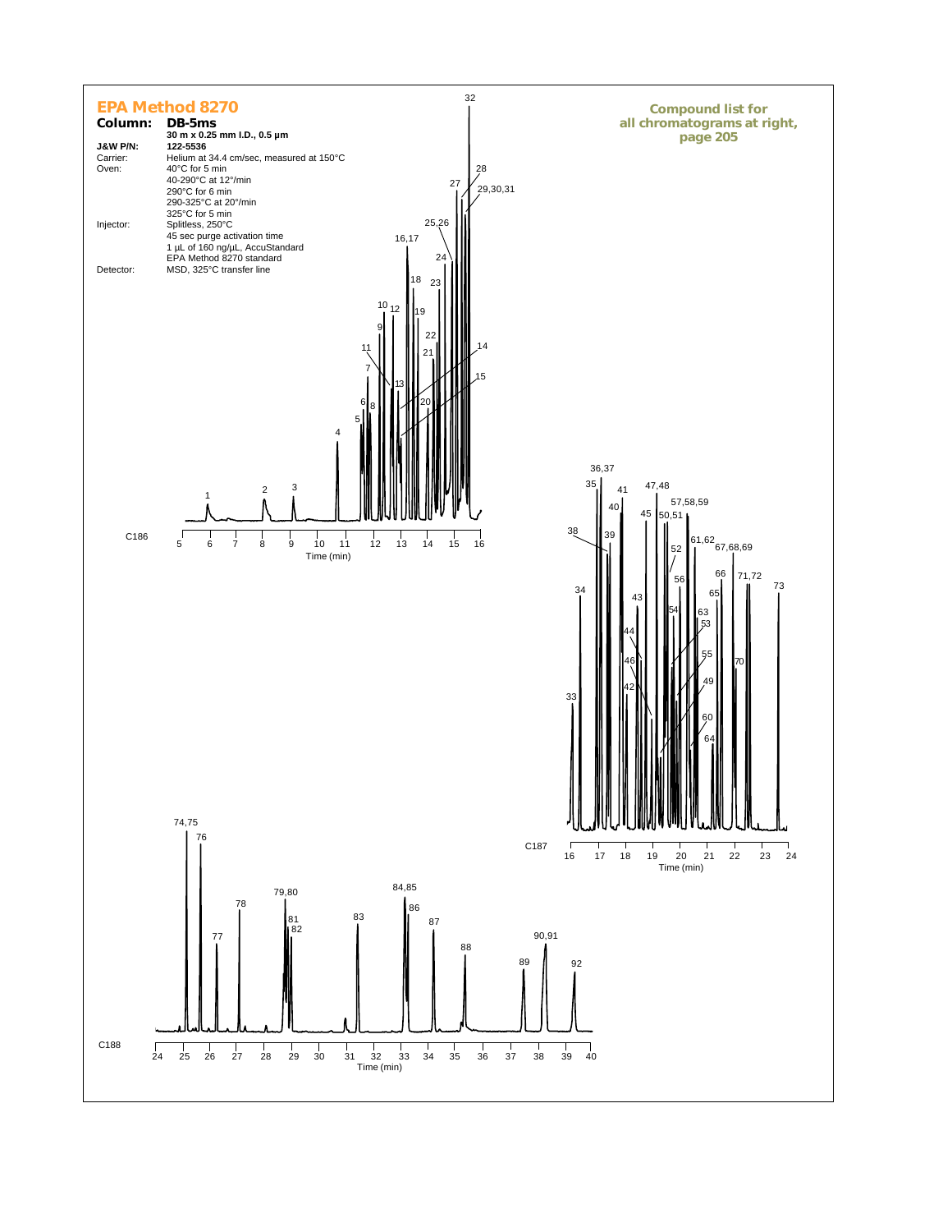